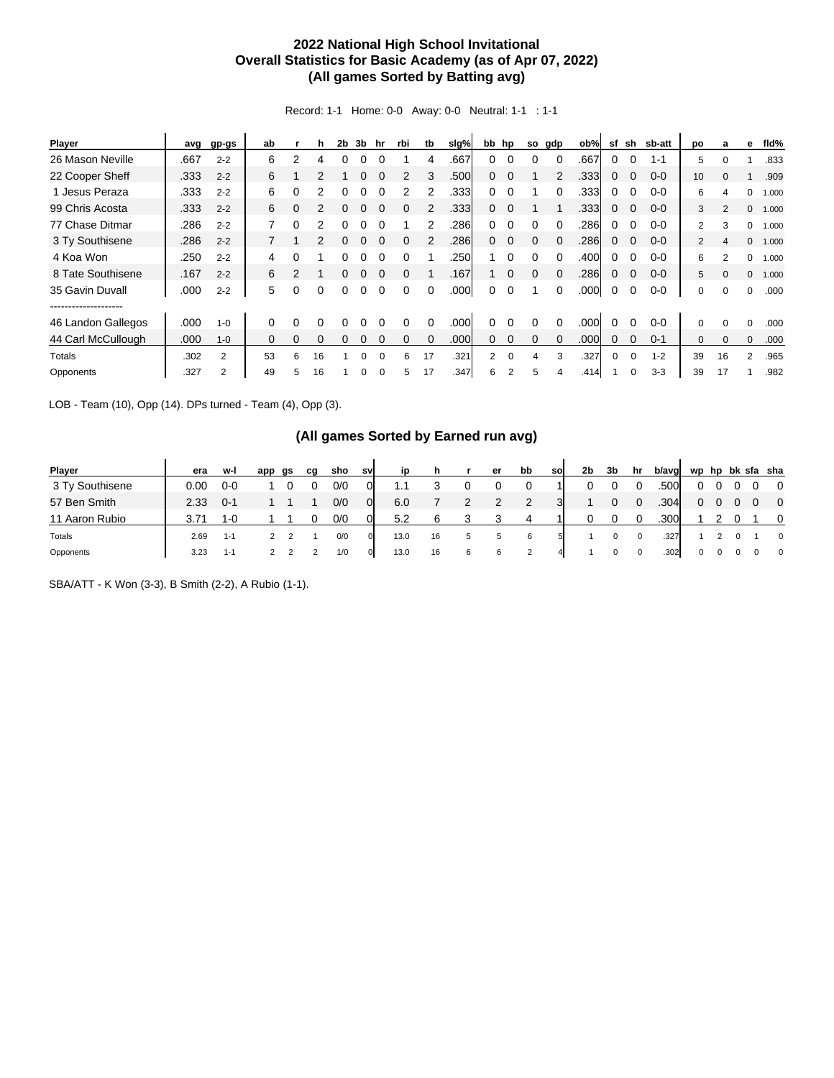## **2022 National High School Invitational Overall Statistics for Basic Academy (as of Apr 07, 2022) (All games Sorted by Batting avg)**

Record: 1-1 Home: 0-0 Away: 0-0 Neutral: 1-1 : 1-1

| Player             | avg  | gp-gs   | ab       |   |          | 2b | 3b | hr | rbi      | tb       | slg% |                | bb hp       | so       | gdp      | ob%  | sf       | sh       | sb-att  | po             | а              | е            | fld%  |
|--------------------|------|---------|----------|---|----------|----|----|----|----------|----------|------|----------------|-------------|----------|----------|------|----------|----------|---------|----------------|----------------|--------------|-------|
| 26 Mason Neville   | .667 | $2 - 2$ | 6        | 2 | 4        | 0  | 0  |    |          | 4        | .667 | 0              | $\Omega$    | 0        | $\Omega$ | .667 | 0        |          | $1 - 1$ | 5              | $\Omega$       |              | .833  |
| 22 Cooper Sheff    | .333 | $2 - 2$ | 6        |   | 2        |    |    |    |          | 3        | .500 | 0              | $\Omega$    |          |          | .333 | 0        |          | $0 - 0$ | 10             |                |              | .909  |
| 1 Jesus Peraza     | .333 | $2 - 2$ | 6        | 0 | 2        | O  | 0  |    | 2        |          | .333 | 0              | $\Omega$    |          | $\Omega$ | .333 | 0        | $\Omega$ | $0 - 0$ | 6              | Δ              | 0            | 1.000 |
| 99 Chris Acosta    | .333 | $2 - 2$ | 6        | 0 |          | 0  | 0  |    | 0        |          | .333 | 0              | $\Omega$    |          |          | .333 | 0        | $\Omega$ | $0 - 0$ | 3              | $\overline{2}$ | $\Omega$     | 1.000 |
| 77 Chase Ditmar    | .286 | $2 - 2$ | 7        | 0 | 2        | 0  | 0  |    |          |          | .286 | 0              | $\Omega$    | $\Omega$ | $\Omega$ | .286 | 0        | $\Omega$ | $0 - 0$ | $\overline{2}$ | 3              | 0            | 1.000 |
| 3 Ty Southisene    | .286 | $2 - 2$ | 7        |   | 2        | 0  | 0  |    | 0        | 2        | .286 | $\Omega$       | $\Omega$    | $\Omega$ |          | .286 | 0        | $\Omega$ | $0 - 0$ | $\overline{2}$ | 4              | $\Omega$     | 1.000 |
| 4 Koa Won          | .250 | $2 - 2$ | 4        | 0 |          | 0  | 0  |    | 0        |          | .250 |                | $\Omega$    | $\Omega$ | $\Omega$ | .400 | 0        |          | $0 - 0$ | 6              | $\mathfrak{p}$ | 0            | 1.000 |
| 8 Tate Southisene  | .167 | $2 - 2$ | 6        | 2 |          | 0  | 0  |    |          |          | .167 |                | $\Omega$    | $\Omega$ |          | .286 | 0        | $\Omega$ | $0 - 0$ | 5              | $\Omega$       | $\mathbf{0}$ | 1.000 |
| 35 Gavin Duvall    | .000 | $2 - 2$ | 5        | 0 | 0        | 0  | 0  |    | $\Omega$ | $\Omega$ | .000 | 0              | $\Omega$    |          | $\Omega$ | .000 | $\Omega$ | $\Omega$ | $0 - 0$ | 0              | $\Omega$       | $\Omega$     | .000  |
|                    |      |         |          |   |          |    |    |    |          |          |      |                |             |          |          |      |          |          |         |                |                |              |       |
| 46 Landon Gallegos | .000 | $1 - 0$ | 0        | O | 0        |    |    |    |          | 0        | .000 | o              |             |          |          | .000 |          |          | $0 - 0$ | 0              | $\Omega$       | 0            | .000  |
| 44 Carl McCullough | .000 | $1 - 0$ | $\Omega$ | 0 | $\Omega$ | 0  | 0  |    |          | $\Omega$ | .000 | 0              | $\Omega$    | $\Omega$ | $\Omega$ | .000 | 0        | $\Omega$ | $0 - 1$ | $\mathbf{0}$   | $\Omega$       | $\mathbf{0}$ | .000  |
| Totals             | .302 | 2       | 53       | 6 | 16       |    | 0  |    | 6        | 17       | .321 | $\overline{2}$ | $\mathbf 0$ | 4        | 3        | .327 | 0        | $\Omega$ | $1 - 2$ | 39             | 16             | 2            | .965  |
| Opponents          | .327 | 2       | 49       | 5 | 16       |    | 0  |    | 5.       | 17       | .347 | 6              | 2           | 5        |          | .414 |          |          | $3 - 3$ | 39             | 17             |              | .982  |

LOB - Team (10), Opp (14). DPs turned - Team (4), Opp (3).

## **(All games Sorted by Earned run avg)**

| <b>Player</b>   | era  | w-l     | app | gs | cq | sho | sv             | ip   | h  |   | er | bb | sol | 2b | 3b | hr       | b/avg |          |  | wp hp bk sfa sha         |
|-----------------|------|---------|-----|----|----|-----|----------------|------|----|---|----|----|-----|----|----|----------|-------|----------|--|--------------------------|
| 3 Ty Southisene | 0.00 | $0 - 0$ |     |    |    | 0/0 |                | 1.1  |    |   |    |    |     |    |    |          | .500  |          |  | $\overline{\mathbf{0}}$  |
| 57 Ben Smith    | 2.33 | $0 - 1$ |     |    |    | 0/0 | $\overline{0}$ | 6.0  |    | 2 | 2  | 2  |     |    |    | $\Omega$ | .304  | 0        |  | $\overline{\phantom{0}}$ |
| 11 Aaron Rubio  | 3 71 | $1 - 0$ |     |    |    | 0/0 |                | 5.2  | 6  |   |    | 4  |     |    |    |          | .300  |          |  | $\mathbf 0$              |
| Totals          | 2.69 | $1 - 1$ |     |    |    | 0/0 | $\mathbf{0}$   | 13.0 | 16 | 5 |    | 6  | 51  |    |    |          | .327  |          |  | $\mathbf 0$              |
| Opponents       | 3.23 | $1 - 1$ |     |    |    | 1/0 | $\overline{0}$ | 13.0 | 16 | 6 | 6  |    | 4   |    |    |          | .302  | $\Omega$ |  | $\mathbf 0$              |

SBA/ATT - K Won (3-3), B Smith (2-2), A Rubio (1-1).